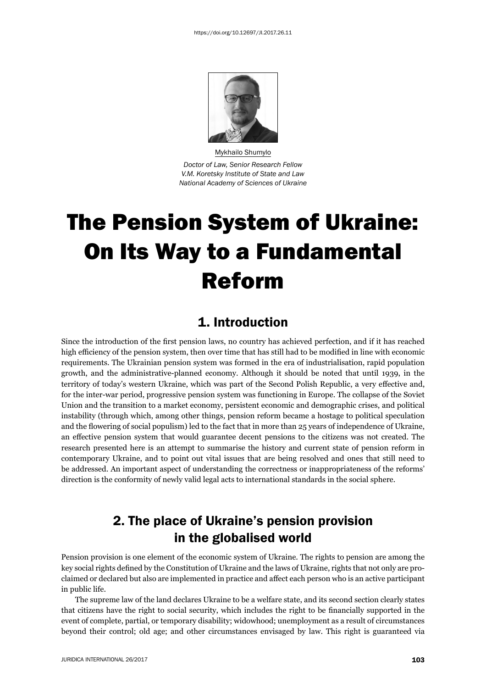

Mykhailo Shumylo *Doctor of Law, Senior Research Fellow V.M. Koretsky Institute of State and Law National Academy of Sciences of Ukraine*

# The Pension System of Ukraine: On Its Way to a Fundamental Reform

#### 1. Introduction

Since the introduction of the first pension laws, no country has achieved perfection, and if it has reached high efficiency of the pension system, then over time that has still had to be modified in line with economic requirements. The Ukrainian pension system was formed in the era of industrialisation, rapid population growth, and the administrative-planned economy. Although it should be noted that until 1939, in the territory of today's western Ukraine, which was part of the Second Polish Republic, a very effective and, for the inter-war period, progressive pension system was functioning in Europe. The collapse of the Soviet Union and the transition to a market economy, persistent economic and demographic crises, and political instability (through which, among other things, pension reform became a hostage to political speculation and the flowering of social populism) led to the fact that in more than 25 years of independence of Ukraine, an effective pension system that would guarantee decent pensions to the citizens was not created. The research presented here is an attempt to summarise the history and current state of pension reform in contemporary Ukraine, and to point out vital issues that are being resolved and ones that still need to be addressed. An important aspect of understanding the correctness or inappropriateness of the reforms' direction is the conformity of newly valid legal acts to international standards in the social sphere.

# 2. The place of Ukraine's pension provision in the globalised world

Pension provision is one element of the economic system of Ukraine. The rights to pension are among the key social rights defined by the Constitution of Ukraine and the laws of Ukraine, rights that not only are proclaimed or declared but also are implemented in practice and affect each person who is an active participant in public life.

The supreme law of the land declares Ukraine to be a welfare state, and its second section clearly states that citizens have the right to social security, which includes the right to be financially supported in the event of complete, partial, or temporary disability; widowhood; unemployment as a result of circumstances beyond their control; old age; and other circumstances envisaged by law. This right is guaranteed via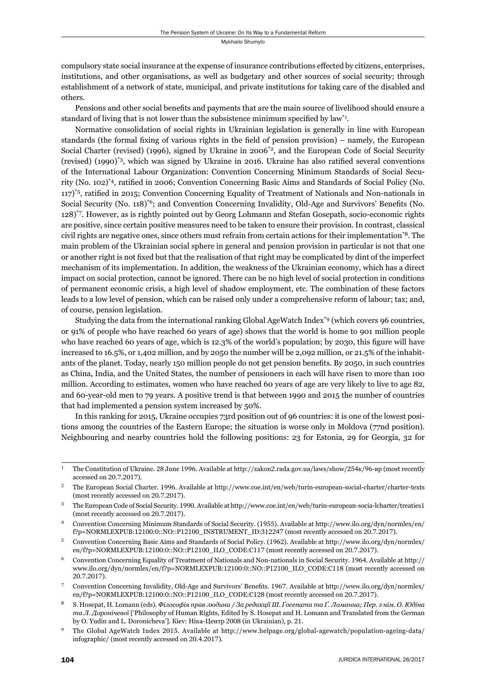compulsory state social insurance at the expense of insurance contributions effected by citizens, enterprises, institutions, and other organisations, as well as budgetary and other sources of social security; through establishment of a network of state, municipal, and private institutions for taking care of the disabled and others.

Pensions and other social benefits and payments that are the main source of livelihood should ensure a standard of living that is not lower than the subsistence minimum specified by law<sup>\*1</sup>.

Normative consolidation of social rights in Ukrainian legislation is generally in line with European standards (the formal fixing of various rights in the field of pension provision) – namely, the European Social Charter (revised) (1996), signed by Ukraine in 2006<sup>\*2</sup>, and the European Code of Social Security (revised)  $(1990)^{3}$ , which was signed by Ukraine in 2016. Ukraine has also ratified several conventions of the International Labour Organization: Convention Concerning Minimum Standards of Social Security (No. 102)<sup>\*4</sup>, ratified in 2006; Convention Concerning Basic Aims and Standards of Social Policy (No. 117)<sup>\*5</sup>, ratified in 2015; Convention Concerning Equality of Treatment of Nationals and Non-nationals in Social Security (No. 118)<sup> $*6$ </sup>; and Convention Concerning Invalidity, Old-Age and Survivors' Benefits (No. 128)\*7. However, as is rightly pointed out by Georg Lohmann and Stefan Gosepath, socio-economic rights are positive, since certain positive measures need to be taken to ensure their provision. In contrast, classical civil rights are negative ones, since others must refrain from certain actions for their implementation\*8. The main problem of the Ukrainian social sphere in general and pension provision in particular is not that one or another right is not fixed but that the realisation of that right may be complicated by dint of the imperfect mechanism of its implementation. In addition, the weakness of the Ukrainian economy, which has a direct impact on social protection, cannot be ignored. There can be no high level of social protection in conditions of permanent economic crisis, a high level of shadow employment, etc. The combination of these factors leads to a low level of pension, which can be raised only under a comprehensive reform of labour; tax; and, of course, pension legislation.

Studying the data from the international ranking Global AgeWatch Index\*9 (which covers 96 countries, or 91% of people who have reached 60 years of age) shows that the world is home to 901 million people who have reached 60 years of age, which is 12.3% of the world's population; by 2030, this figure will have increased to 16.5%, or 1,402 million, and by 2050 the number will be 2,092 million, or 21.5% of the inhabitants of the planet. Today, nearly 150 million people do not get pension benefits. By 2050, in such countries as China, India, and the United States, the number of pensioners in each will have risen to more than 100 million. According to estimates, women who have reached 60 years of age are very likely to live to age 82, and 60-year-old men to 79 years. A positive trend is that between 1990 and 2015 the number of countries that had implemented a pension system increased by 50%.

In this ranking for 2015, Ukraine occupies 73rd position out of 96 countries: it is one of the lowest positions among the countries of the Eastern Europe; the situation is worse only in Moldova (77nd position). Neighbouring and nearby countries hold the following positions: 23 for Estonia, 29 for Georgia, 32 for

The Constitution of Ukraine. 28 June 1996. Available at http://zakon2.rada.gov.ua/laws/show/254k/96-вр (most recently accessed on 20.7.2017).

<sup>&</sup>lt;sup>2</sup> The European Social Charter. 1996. Available at http://www.coe.int/en/web/turin-european-social-charter/charter-texts (most recently accessed on 20.7.2017).

<sup>&</sup>lt;sup>3</sup> The European Code of Social Security. 1990. Available at http://www.coe.int/en/web/turin-european-socia-lcharter/treaties1 (most recently accessed on 20.7.2017).

Convention Concerning Minimum Standards of Social Security. (1955). Available at http://www.ilo.org/dyn/normlex/en/ f?p=NORMLEXPUB:12100:0::NO::P12100\_INSTRUMENT\_ID:312247 (most recently accessed on 20.7.2017).

Convention Concerning Basic Aims and Standards of Social Policy. (1962). Available at http://www.ilo.org/dyn/normlex/ en/f?p=NORMLEXPUB:12100:0::NO::P12100\_ILO\_CODE:C117 (most recently accessed on 20.7.2017).

Convention Concerning Equality of Treatment of Nationals and Non-nationals in Social Security. 1964. Available at http:// www.ilo.org/dyn/normlex/en/f?p=NORMLEXPUB:12100:0::NO::P12100 ILO CODE:C118 (most recently accessed on 20.7.2017).

Convention Concerning Invalidity, Old-Age and Survivors' Benefits. 1967. Available at http://www.ilo.org/dyn/normlex/ en/f?p=NORMLEXPUB:12100:0::NO::P12100\_ILO\_CODE:C128 (most recently accessed on 20.7.2017).

S. Hosepat, H. Lomann (eds). Філософія прав людини / За редакції III. Ґосепата та Ґ. Ломанна; Пер. з нім. О. Юдіна *та Л. Доронічевої* ['Philosophy of Human Rights, Edited by S. Hosepat and H. Lomann and Translated from the German by О. Yudin and L. Doronicheva']. Кіеv: Ніка-Центр 2008 (in Ukrainian), p. 21.

The Global AgeWatch Index 2015. Available at http://www.helpage.org/global-agewatch/population-ageing-data/ infographic/ (most recently accessed on 20.4.2017).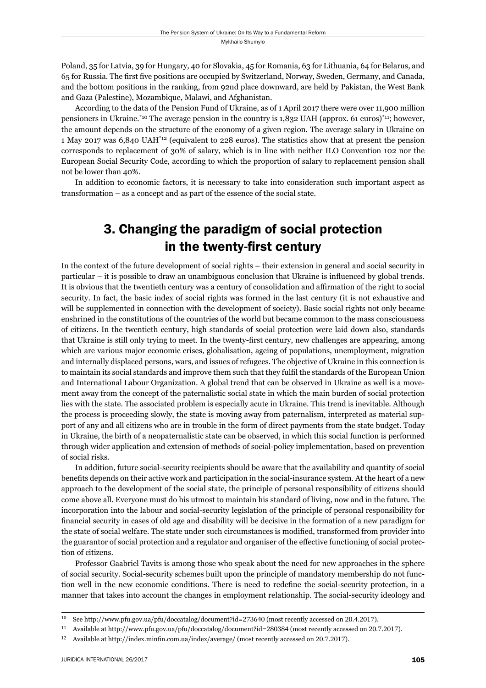Poland, 35 for Latvia, 39 for Hungary, 40 for Slovakia, 45 for Romania, 63 for Lithuania, 64 for Belarus, and 65 for Russia. The first five positions are occupied by Switzerland, Norway, Sweden, Germany, and Canada, and the bottom positions in the ranking, from 92nd place downward, are held by Pakistan, the West Bank and Gaza (Palestine), Mozambique, Malawi, and Afghanistan.

According to the data of the Pension Fund of Ukraine, as of 1 April 2017 there were over 11,900 million pensioners in Ukraine.<sup>\*10</sup> The average pension in the country is 1,832 UAH (approx. 61 euros)<sup>\*11</sup>; however, the amount depends on the structure of the economy of a given region. The average salary in Ukraine on 1 May 2017 was 6,840 UAH\*12 (equivalent to 228 euros). The statistics show that at present the pension corresponds to replacement of 30% of salary, which is in line with neither ILO Convention 102 nor the European Social Security Code, according to which the proportion of salary to replacement pension shall not be lower than 40%.

In addition to economic factors, it is necessary to take into consideration such important aspect as transformation – as a concept and as part of the essence of the social state.

## 3. Changing the paradigm of social protection in the twenty-first century

In the context of the future development of social rights – their extension in general and social security in particular – it is possible to draw an unambiguous conclusion that Ukraine is influenced by global trends. It is obvious that the twentieth century was a century of consolidation and affirmation of the right to social security. In fact, the basic index of social rights was formed in the last century (it is not exhaustive and will be supplemented in connection with the development of society). Basic social rights not only became enshrined in the constitutions of the countries of the world but became common to the mass consciousness of citizens. In the twentieth century, high standards of social protection were laid down also, standards that Ukraine is still only trying to meet. In the twenty-first century, new challenges are appearing, among which are various major economic crises, globalisation, ageing of populations, unemployment, migration and internally displaced persons, wars, and issues of refugees. The objective of Ukraine in this connection is to maintain its social standards and improve them such that they fulfi l the standards of the European Union and International Labour Organization. A global trend that can be observed in Ukraine as well is a movement away from the concept of the paternalistic social state in which the main burden of social protection lies with the state. The associated problem is especially acute in Ukraine. This trend is inevitable. Although the process is proceeding slowly, the state is moving away from paternalism, interpreted as material support of any and all citizens who are in trouble in the form of direct payments from the state budget. Today in Ukraine, the birth of a neopaternalistic state can be observed, in which this social function is performed through wider application and extension of methods of social-policy implementation, based on prevention of social risks.

In addition, future social-security recipients should be aware that the availability and quantity of social benefits depends on their active work and participation in the social-insurance system. At the heart of a new approach to the development of the social state, the principle of personal responsibility of citizens should come above all. Everyone must do his utmost to maintain his standard of living, now and in the future. The incorporation into the labour and social-security legislation of the principle of personal responsibility for financial security in cases of old age and disability will be decisive in the formation of a new paradigm for the state of social welfare. The state under such circumstances is modified, transformed from provider into the guarantor of social protection and a regulator and organiser of the effective functioning of social protection of citizens.

Professor Gaabriel Tavits is among those who speak about the need for new approaches in the sphere of social security. Social-security schemes built upon the principle of mandatory membership do not function well in the new economic conditions. There is need to redefine the social-security protection, in a manner that takes into account the changes in employment relationship. The social-security ideology and

<sup>&</sup>lt;sup>10</sup> See http://www.pfu.gov.ua/pfu/doccatalog/document?id=273640 (most recently accessed on 20.4.2017).

<sup>&</sup>lt;sup>11</sup> Available at http://www.pfu.gov.ua/pfu/doccatalog/document?id=280384 (most recently accessed on 20.7.2017).

<sup>&</sup>lt;sup>12</sup> Available at http://index.minfin.com.ua/index/average/ (most recently accessed on 20.7.2017).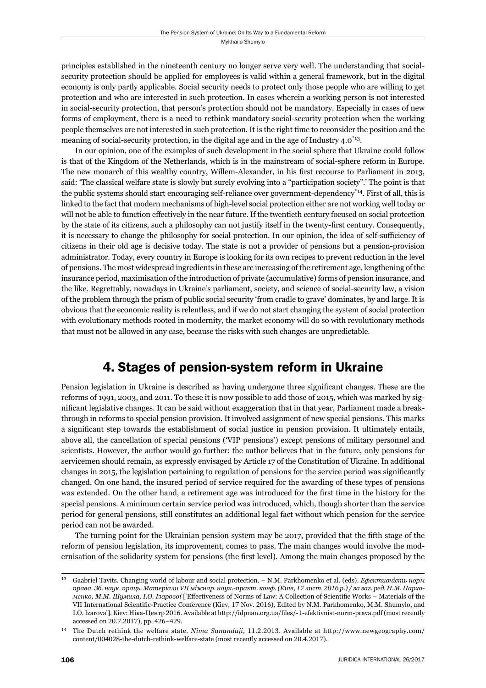principles established in the nineteenth century no longer serve very well. The understanding that socialsecurity protection should be applied for employees is valid within a general framework, but in the digital economy is only partly applicable. Social security needs to protect only those people who are willing to get protection and who are interested in such protection. In cases wherein a working person is not interested in social-security protection, that person's protection should not be mandatory. Especially in cases of new forms of employment, there is a need to rethink mandatory social-security protection when the working people themselves are not interested in such protection. It is the right time to reconsider the position and the meaning of social-security protection, in the digital age and in the age of Industry 4.0\*13.

In our opinion, one of the examples of such development in the social sphere that Ukraine could follow is that of the Kingdom of the Netherlands, which is in the mainstream of social-sphere reform in Europe. The new monarch of this wealthy country, Willem-Alexander, in his first recourse to Parliament in 2013, said: 'The classical welfare state is slowly but surely evolving into a "participation society".' The point is that the public systems should start encouraging self-reliance over government-dependency\*14. First of all, this is linked to the fact that modern mechanisms of high-level social protection either are not working well today or will not be able to function effectively in the near future. If the twentieth century focused on social protection by the state of its citizens, such a philosophy can not justify itself in the twenty-first century. Consequently, it is necessary to change the philosophy for social protection. In our opinion, the idea of self-sufficiency of citizens in their old age is decisive today. The state is not a provider of pensions but a pension-provision administrator. Today, every country in Europe is looking for its own recipes to prevent reduction in the level of pensions. The most widespread ingredients in these are increasing of the retirement age, lengthening of the insurance period, maximisation of the introduction of private (accumulative) forms of pension insurance, and the like. Regrettably, nowadays in Ukraine's parliament, society, and science of social-security law, a vision of the problem through the prism of public social security 'from cradle to grave' dominates, by and large. It is obvious that the economic reality is relentless, and if we do not start changing the system of social protection with evolutionary methods rooted in modernity, the market economy will do so with revolutionary methods that must not be allowed in any case, because the risks with such changes are unpredictable.

#### 4. Stages of pension-system reform in Ukraine

Pension legislation in Ukraine is described as having undergone three significant changes. These are the reforms of 1991, 2003, and 2011. To these it is now possible to add those of 2015, which was marked by significant legislative changes. It can be said without exaggeration that in that year, Parliament made a breakthrough in reforms to special pension provision. It involved assignment of new special pensions. This marks a significant step towards the establishment of social justice in pension provision. It ultimately entails, above all, the cancellation of special pensions ('VIP pensions') except pensions of military personnel and scientists. However, the author would go further: the author believes that in the future, only pensions for servicemen should remain, as expressly envisaged by Article 17 of the Constitution of Ukraine. In additional changes in 2015, the legislation pertaining to regulation of pensions for the service period was significantly changed. On one hand, the insured period of service required for the awarding of these types of pensions was extended. On the other hand, a retirement age was introduced for the first time in the history for the special pensions. A minimum certain service period was introduced, which, though shorter than the service period for general pensions, still constitutes an additional legal fact without which pension for the service period can not be awarded.

The turning point for the Ukrainian pension system may be 2017, provided that the fifth stage of the reform of pension legislation, its improvement, comes to pass. The main changes would involve the modernisation of the solidarity system for pensions (the first level). Among the main changes proposed by the

ɲɴ Gaabriel Tavits. Changing world of labour and social protection. – N.M. Parkhomenko et al. (eds). *Ефективність норм* права. Зб. наук. праць. Матеріали VII міжнар. наук.-практ. конф. (Київ, 17 лист. 2016 р.) / за заг. ред. Н.М. Пархо*менко*, *М.М. Шумила*, *I.O. Iзарової* ['Effectiveness of Norms of Law: A Collection of Scientific Works – Materials of the VII International Scientific-Practice Conference (Kiev, 17 Nov. 2016), Edited by N.M. Parkhomenko, M.M. Shumylo, and I.O. Izarova']. Кiev: Нiка-Центр 2016. Available at http://idpnan.org.ua/files/-1-efektivnist-norm-prava.pdf (most recently accessed on 20.7.2017), pp. 426-429.

<sup>&</sup>lt;sup>14</sup> The Dutch rethink the welfare state. *Nima Sanandaji*, 11.2.2013. Available at http://www.newgeography.com/ content/004028-the-dutch-rethink-welfare-state (most recently accessed on 20.4.2017).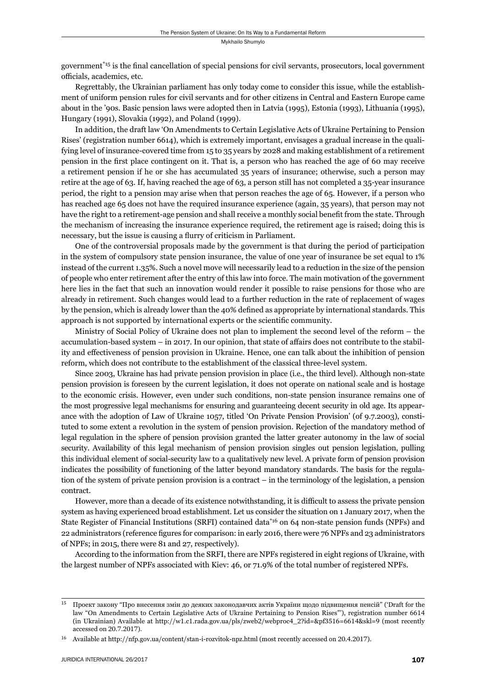government<sup>\*15</sup> is the final cancellation of special pensions for civil servants, prosecutors, local government officials, academics, etc.

Regrettably, the Ukrainian parliament has only today come to consider this issue, while the establishment of uniform pension rules for civil servants and for other citizens in Central and Eastern Europe came about in the '90s. Basic pension laws were adopted then in Latvia (1995), Estonia (1993), Lithuania (1995), Hungary (1991), Slovakia (1992), and Poland (1999).

In addition, the draft law 'On Amendments to Certain Legislative Acts of Ukraine Pertaining to Pension Rises' (registration number 6614), which is extremely important, envisages a gradual increase in the qualifying level of insurance-covered time from 15 to 35 years by 2028 and making establishment of a retirement pension in the first place contingent on it. That is, a person who has reached the age of 60 may receive a retirement pension if he or she has accumulated 35 years of insurance; otherwise, such a person may retire at the age of 63. If, having reached the age of 63, a person still has not completed a 35-year insurance period, the right to a pension may arise when that person reaches the age of 65. However, if a person who has reached age 65 does not have the required insurance experience (again, 35 years), that person may not have the right to a retirement-age pension and shall receive a monthly social benefi t from the state. Through the mechanism of increasing the insurance experience required, the retirement age is raised; doing this is necessary, but the issue is causing a flurry of criticism in Parliament.

One of the controversial proposals made by the government is that during the period of participation in the system of compulsory state pension insurance, the value of one year of insurance be set equal to 1% instead of the current 1.35%. Such a novel move will necessarily lead to a reduction in the size of the pension of people who enter retirement after the entry of this law into force. The main motivation of the government here lies in the fact that such an innovation would render it possible to raise pensions for those who are already in retirement. Such changes would lead to a further reduction in the rate of replacement of wages by the pension, which is already lower than the 40% defined as appropriate by international standards. This approach is not supported by international experts or the scientific community.

Ministry of Social Policy of Ukraine does not plan to implement the second level of the reform – the accumulation-based system – in 2017. In our opinion, that state of affairs does not contribute to the stability and effectiveness of pension provision in Ukraine. Hence, one can talk about the inhibition of pension reform, which does not contribute to the establishment of the classical three-level system.

Since 2003, Ukraine has had private pension provision in place (i.e., the third level). Although non-state pension provision is foreseen by the current legislation, it does not operate on national scale and is hostage to the economic crisis. However, even under such conditions, non-state pension insurance remains one of the most progressive legal mechanisms for ensuring and guaranteeing decent security in old age. Its appearance with the adoption of Law of Ukraine 1057, titled 'On Private Pension Provision' (of 9.7.2003), constituted to some extent a revolution in the system of pension provision. Rejection of the mandatory method of legal regulation in the sphere of pension provision granted the latter greater autonomy in the law of social security. Availability of this legal mechanism of pension provision singles out pension legislation, pulling this individual element of social-security law to a qualitatively new level. A private form of pension provision indicates the possibility of functioning of the latter beyond mandatory standards. The basis for the regulation of the system of private pension provision is a contract – in the terminology of the legislation, a pension contract.

However, more than a decade of its existence notwithstanding, it is difficult to assess the private pension system as having experienced broad establishment. Let us consider the situation on 1 January 2017, when the State Register of Financial Institutions (SRFI) contained data\*16 on 64 non-state pension funds (NPFs) and 22 administrators (reference figures for comparison: in early 2016, there were 76 NPFs and 23 administrators of NPFs; in 2015, there were 81 and 27, respectively).

According to the information from the SRFI, there are NPFs registered in eight regions of Ukraine, with the largest number of NPFs associated with Kiev: 46, or 71.9% of the total number of registered NPFs.

ɲɶ Проект закону "Про внесення змін до деяких законодавчих актів України щодо підвищення пенсій" ('Draft for the law "On Amendments to Certain Legislative Acts of Ukraine Pertaining to Pension Rises"'), registration number 6614 (in Ukrainian) Available at http://w1.c1.rada.gov.ua/pls/zweb2/webproc4\_2?id=&pf3516=6614&skl=9 (most recently accessed on 20.7.2017).

<sup>&</sup>lt;sup>16</sup> Available at http://nfp.gov.ua/content/stan-i-rozvitok-npz.html (most recently accessed on 20.4.2017).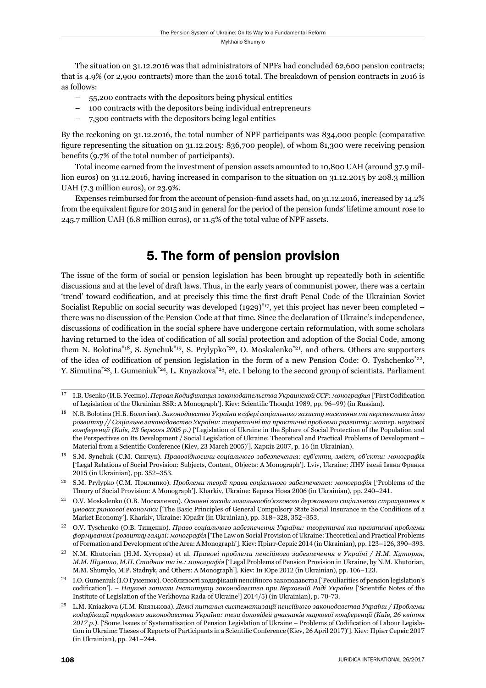The situation on 31.12.2016 was that administrators of NPFs had concluded 62,600 pension contracts; that is 4.9% (or 2,900 contracts) more than the 2016 total. The breakdown of pension contracts in 2016 is as follows:

- 55,200 contracts with the depositors being physical entities
- 100 contracts with the depositors being individual entrepreneurs
- 7,300 contracts with the depositors being legal entities

By the reckoning on 31.12.2016, the total number of NPF participants was 834,000 people (comparative figure representing the situation on 31.12.2015: 836,700 people), of whom 81,300 were receiving pension benefits (9.7% of the total number of participants).

Total income earned from the investment of pension assets amounted to 10,800 UAH (around 37.9 million euros) on 31.12.2016, having increased in comparison to the situation on 31.12.2015 by 208.3 million UAH (7.3 million euros), or 23.9%.

Expenses reimbursed for from the account of pension-fund assets had, on 31.12.2016, increased by 14.2% from the equivalent figure for 2015 and in general for the period of the pension funds' lifetime amount rose to 245.7 million UAH (6.8 million euros), or 11.5% of the total value of NPF assets.

## 5. The form of pension provision

The issue of the form of social or pension legislation has been brought up repeatedly both in scientific discussions and at the level of draft laws. Thus, in the early years of communist power, there was a certain 'trend' toward codification, and at precisely this time the first draft Penal Code of the Ukrainian Soviet Socialist Republic on social security was developed  $(1929)^{47}$ , yet this project has never been completed – there was no discussion of the Pension Code at that time. Since the declaration of Ukraine's independence, discussions of codification in the social sphere have undergone certain reformulation, with some scholars having returned to the idea of codification of all social protection and adoption of the Social Code, among them N. Bolotina<sup>\*18</sup>, S. Synchuk<sup>\*19</sup>, S. Prylypko<sup>\*20</sup>, O. Moskalenko<sup>\*21</sup>, and others. Others are supporters of the idea of codification of pension legislation in the form of a new Pension Code: O. Tyshchenko<sup>\*22</sup>, Y. Simutina<sup>\*23</sup>, I. Gumeniuk<sup>\*24</sup>, L. Knyazkova<sup>\*25</sup>, etc. I belong to the second group of scientists. Parliament

ɲɸ I.B. Usenko (И.Б. Усенко). *Первая Кодификация законодательства Украинской ССР: монография* ['First Codifi cation of Legislation of the Ukrainian SSR: A Monograph']. Kiev: Scientific Thought 1989, pp. 96-99) (in Russian).

ɲɹ N.B. Bolotina (Н.Б. Болотіна). *Законодавство України в сфері соціального захисту населення та перспективи його розвитку // Соціальне законодавство України: теоретичні та практичні проблеми розвитку: матер. наукової конференції (Київ, ɳɴ березня ɳɱɱɶ р.)* ['Legislation of Ukraine in the Sphere of Social Protection of the Population and the Perspectives on Its Development / Social Legislation of Ukraine: Theoretical and Practical Problems of Development – Material from a Scientific Conference (Kiev, 23 March 2005)']. Харків 2007, р. 16 (in Ukrainian).

ɲɺ S.M. Synchuk (С.М. Синчук). *Правовідносини соціального забезпечення: суб'єкти, зміст, об'єкти: монографія* ['Legal Relations of Social Provision: Subjects, Content, Objects: A Monograph']. Lviv, Ukraine: ЛНУ імені Івана Франка 2015 (in Ukrainian), pp. 352-353.

ɳɱ S.M. Prylypko (С.М. Прилипко). *Проблеми теорії права соціального забезпечення: монографія* ['Problems of the Theory of Social Provision: A Monograph']. Kharkiv, Ukraine: Берека Нова 2006 (in Ukrainian), pp. 240–241.

ɳɲ O.V. Moskalenko (О.В. Москаленко). *Основні засади зазальнообо'язкового державного соціального страхування в умовах ринкової економіки* ['The Basic Principles of General Compulsory State Social Insurance in the Conditions of a Market Economy']. Kharkiv, Ukraine: Юрайт (in Ukrainian), pp. 318–328, 352–353.

ɳɳ O.V. Tyschenko (О.В. Тищенко). *Право соціального забезпечення України: теоретичні та практичні проблеми формування і розвитку галузі: монографія* ['The Law on Social Provision of Ukraine: Theoretical and Practical Problems of Formation and Development of the Area: A Monograph']. Kiev: Прінт-Сервіс 2014 (in Ukrainian), pp. 123–126, 390–393.

ɳɴ N.M. Khutorian (Н.М. Хуторян) et al. *Правові проблеми пенсійного забезпечення в Україні / Н.М. Хуторян, М.М. Шумило, М.П. Стадник та ін.: монографія* ['Legal Problems of Pension Provision in Ukraine, by N.M. Khutorian, M.M. Shumylo, M.P. Stadnyk, and Others: A Monograph']. Kiev: In IOpe 2012 (in Ukrainian), pp. 106–123.

<sup>&</sup>lt;sup>24</sup> I.O. Gumeniuk (І.О Гуменюк). Особливості кодифікації пенсійного законодавства ['Peculiarities of pension legislation's codifi cation']. – *Наукові записки Інституту законодавства при Верховній Раді України* ['Scientifi c Notes of the Institute of Legislation of the Verkhovna Rada of Ukraine'] 2014/5) (in Ukrainian), p. 70-73.

ɳɶ L.M. Kniazkova (Л.М. Князькова). *Деякі питання систематизації пенсійного законодавства України / Проблеми кодифікації трудового законодавства України: тези доповідей учасників наукової конференції (Київ, ɳɷ квітня* 2017 p.). ['Some Issues of Systematisation of Pension Legislation of Ukraine – Problems of Codification of Labour Legislation in Ukraine: Theses of Reports of Participants in a Scientific Conference (Kiev, 26 April 2017)']. Кіеv: Прінт Сервіс 2017 (in Ukrainian), pp. 241-244.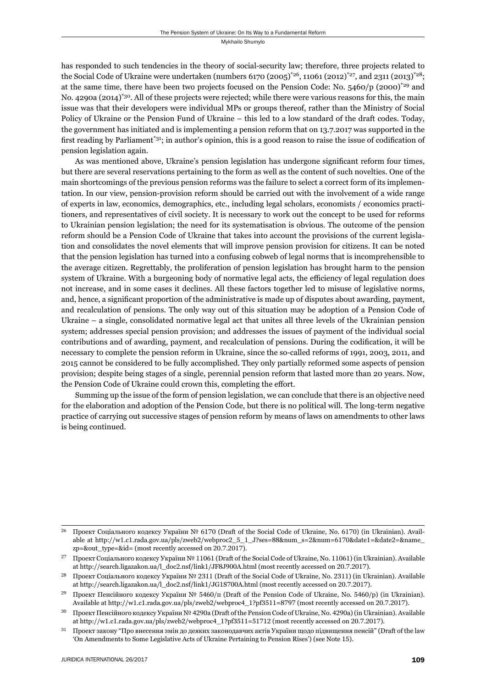has responded to such tendencies in the theory of social-security law; therefore, three projects related to the Social Code of Ukraine were undertaken (numbers 6170 (2005)<sup>\*26</sup>, 11061 (2012)<sup>\*27</sup>, and 2311 (2013)<sup>\*28</sup>; at the same time, there have been two projects focused on the Pension Code: No.  $5460/p$  (2000)<sup>\*29</sup> and No. 4290a (2014)<sup>\*30</sup>. All of these projects were rejected; while there were various reasons for this, the main issue was that their developers were individual MPs or groups thereof, rather than the Ministry of Social Policy of Ukraine or the Pension Fund of Ukraine – this led to a low standard of the draft codes. Today, the government has initiated and is implementing a pension reform that on 13.7.2017 was supported in the first reading by Parliament<sup>\*31</sup>; in author's opinion, this is a good reason to raise the issue of codification of pension legislation again.

As was mentioned above, Ukraine's pension legislation has undergone significant reform four times, but there are several reservations pertaining to the form as well as the content of such novelties. One of the main shortcomings of the previous pension reforms was the failure to select a correct form of its implementation. In our view, pension-provision reform should be carried out with the involvement of a wide range of experts in law, economics, demographics, etc., including legal scholars, economists / economics practitioners, and representatives of civil society. It is necessary to work out the concept to be used for reforms to Ukrainian pension legislation; the need for its systematisation is obvious. The outcome of the pension reform should be a Pension Code of Ukraine that takes into account the provisions of the current legislation and consolidates the novel elements that will improve pension provision for citizens. It can be noted that the pension legislation has turned into a confusing cobweb of legal norms that is incomprehensible to the average citizen. Regrettably, the proliferation of pension legislation has brought harm to the pension system of Ukraine. With a burgeoning body of normative legal acts, the efficiency of legal regulation does not increase, and in some cases it declines. All these factors together led to misuse of legislative norms, and, hence, a significant proportion of the administrative is made up of disputes about awarding, payment, and recalculation of pensions. The only way out of this situation may be adoption of a Pension Code of Ukraine – a single, consolidated normative legal act that unites all three levels of the Ukrainian pension system; addresses special pension provision; and addresses the issues of payment of the individual social contributions and of awarding, payment, and recalculation of pensions. During the codification, it will be necessary to complete the pension reform in Ukraine, since the so-called reforms of 1991, 2003, 2011, and 2015 cannot be considered to be fully accomplished. They only partially reformed some aspects of pension provision; despite being stages of a single, perennial pension reform that lasted more than 20 years. Now, the Pension Code of Ukraine could crown this, completing the effort.

Summing up the issue of the form of pension legislation, we can conclude that there is an objective need for the elaboration and adoption of the Pension Code, but there is no political will. The long-term negative practice of carrying out successive stages of pension reform by means of laws on amendments to other laws is being continued.

<sup>&</sup>lt;sup>26</sup> Проект Соціального кодексу України № 6170 (Draft of the Social Code of Ukraine, No. 6170) (in Ukrainian). Available at http://w1.c1.rada.gov.ua/pls/zweb2/webproc2\_5\_1\_J?ses=88&num\_s=2&num=6170&date1=&date2=&name\_ zp=&out\_type=&id= (most recently accessed on 20.7.2017).

<sup>&</sup>lt;sup>27</sup> Проект Соціального кодексу України № 11061 (Draft of the Social Code of Ukraine, No. 11061) (in Ukrainian). Available at http://search.ligazakon.ua/l\_doc2.nsf/link1/JF8J900A.html (most recently accessed on 20.7.2017).

Проект Соціального кодексу України № 2311 (Draft of the Social Code of Ukraine, No. 2311) (in Ukrainian). Available at http://search.ligazakon.ua/l\_doc2.nsf/link1/JG1S700A.html (most recently accessed on 20.7.2017).

<sup>&</sup>lt;sup>29</sup> Проект Пенсійного кодексу України № 5460/п (Draft of the Pension Code of Ukraine, No. 5460/p) (in Ukrainian). Available at http://w1.c1.rada.gov.ua/pls/zweb2/webproc4\_1?pf3511=8797 (most recently accessed on 20.7.2017).

<sup>&</sup>lt;sup>30</sup> Проект Пенсійного кодексу України № 4290a (Draft of the Pension Code of Ukraine, No. 4290a) (in Ukrainian). Available at http://w1.c1.rada.gov.ua/pls/zweb2/webproc4\_1?pf3511=51712 (most recently accessed on 20.7.2017).

 $31$  Проект закону "Про внесення змін до деяких законодавчих актів України щодо підвищення пенсій" (Draft of the law 'On Amendments to Some Legislative Acts of Ukraine Pertaining to Pension Rises') (see Note 15).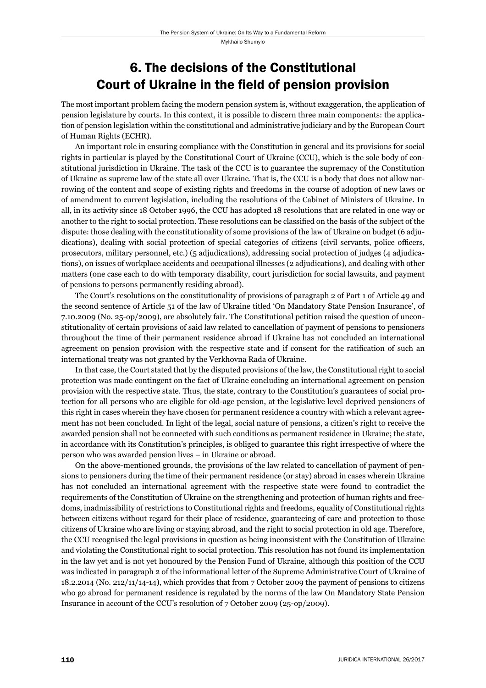## 6. The decisions of the Constitutional Court of Ukraine in the field of pension provision

The most important problem facing the modern pension system is, without exaggeration, the application of pension legislature by courts. In this context, it is possible to discern three main components: the application of pension legislation within the constitutional and administrative judiciary and by the European Court of Human Rights (ECHR).

An important role in ensuring compliance with the Constitution in general and its provisions for social rights in particular is played by the Constitutional Court of Ukraine (CCU), which is the sole body of constitutional jurisdiction in Ukraine. The task of the CCU is to guarantee the supremacy of the Constitution of Ukraine as supreme law of the state all over Ukraine. That is, the CCU is a body that does not allow narrowing of the content and scope of existing rights and freedoms in the course of adoption of new laws or of amendment to current legislation, including the resolutions of the Cabinet of Ministers of Ukraine. In all, in its activity since 18 October 1996, the CCU has adopted 18 resolutions that are related in one way or another to the right to social protection. These resolutions can be classified on the basis of the subject of the dispute: those dealing with the constitutionality of some provisions of the law of Ukraine on budget (6 adjudications), dealing with social protection of special categories of citizens (civil servants, police officers, prosecutors, military personnel, etc.) (5 adjudications), addressing social protection of judges (4 adjudications), on issues of workplace accidents and occupational illnesses (2 adjudications), and dealing with other matters (one case each to do with temporary disability, court jurisdiction for social lawsuits, and payment of pensions to persons permanently residing abroad).

The Court's resolutions on the constitutionality of provisions of paragraph 2 of Part 1 of Article 49 and the second sentence of Article 51 of the law of Ukraine titled 'On Mandatory State Pension Insurance', of 7.10.2009 (No. 25-op/2009), are absolutely fair. The Constitutional petition raised the question of unconstitutionality of certain provisions of said law related to cancellation of payment of pensions to pensioners throughout the time of their permanent residence abroad if Ukraine has not concluded an international agreement on pension provision with the respective state and if consent for the ratification of such an international treaty was not granted by the Verkhovna Rada of Ukraine.

In that case, the Court stated that by the disputed provisions of the law, the Constitutional right to social protection was made contingent on the fact of Ukraine concluding an international agreement on pension provision with the respective state. Thus, the state, contrary to the Constitution's guarantees of social protection for all persons who are eligible for old-age pension, at the legislative level deprived pensioners of this right in cases wherein they have chosen for permanent residence a country with which a relevant agreement has not been concluded. In light of the legal, social nature of pensions, a citizen's right to receive the awarded pension shall not be connected with such conditions as permanent residence in Ukraine; the state, in accordance with its Constitution's principles, is obliged to guarantee this right irrespective of where the person who was awarded pension lives – in Ukraine or abroad.

On the above-mentioned grounds, the provisions of the law related to cancellation of payment of pensions to pensioners during the time of their permanent residence (or stay) abroad in cases wherein Ukraine has not concluded an international agreement with the respective state were found to contradict the requirements of the Constitution of Ukraine on the strengthening and protection of human rights and freedoms, inadmissibility of restrictions to Constitutional rights and freedoms, equality of Constitutional rights between citizens without regard for their place of residence, guaranteeing of care and protection to those citizens of Ukraine who are living or staying abroad, and the right to social protection in old age. Therefore, the CCU recognised the legal provisions in question as being inconsistent with the Constitution of Ukraine and violating the Constitutional right to social protection. This resolution has not found its implementation in the law yet and is not yet honoured by the Pension Fund of Ukraine, although this position of the CCU was indicated in paragraph 2 of the informational letter of the Supreme Administrative Court of Ukraine of 18.2.2014 (No. 212/11/14-14), which provides that from 7 October 2009 the payment of pensions to citizens who go abroad for permanent residence is regulated by the norms of the law On Mandatory State Pension Insurance in account of the CCU's resolution of 7 October 2009 (25-op/2009).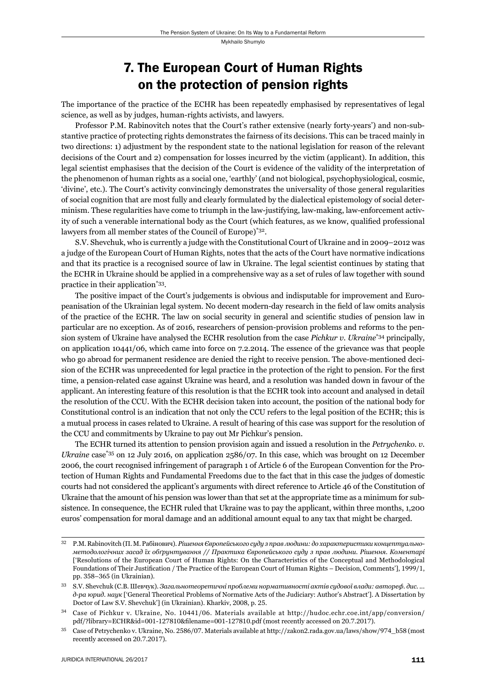## 7. The European Court of Human Rights on the protection of pension rights

The importance of the practice of the ECHR has been repeatedly emphasised by representatives of legal science, as well as by judges, human-rights activists, and lawyers.

Professor P.M. Rabinovitch notes that the Court's rather extensive (nearly forty-years') and non-substantive practice of protecting rights demonstrates the fairness of its decisions. This can be traced mainly in two directions: 1) adjustment by the respondent state to the national legislation for reason of the relevant decisions of the Court and 2) compensation for losses incurred by the victim (applicant). In addition, this legal scientist emphasises that the decision of the Court is evidence of the validity of the interpretation of the phenomenon of human rights as a social one, 'earthly' (and not biological, psychophysiological, cosmic, 'divine', etc.). The Court's activity convincingly demonstrates the universality of those general regularities of social cognition that are most fully and clearly formulated by the dialectical epistemology of social determinism. These regularities have come to triumph in the law-justifying, law-making, law-enforcement activity of such a venerable international body as the Court (which features, as we know, qualified professional lawyers from all member states of the Council of Europe)\*32.

S.V. Shevchuk, who is currently a judge with the Constitutional Court of Ukraine and in 2009–2012 was a judge of the European Court of Human Rights, notes that the acts of the Court have normative indications and that its practice is a recognised source of law in Ukraine. The legal scientist continues by stating that the ECHR in Ukraine should be applied in a comprehensive way as a set of rules of law together with sound practice in their application\*33.

The positive impact of the Court's judgements is obvious and indisputable for improvement and Europeanisation of the Ukrainian legal system. No decent modern-day research in the field of law omits analysis of the practice of the ECHR. The law on social security in general and scientific studies of pension law in particular are no exception. As of 2016, researchers of pension-provision problems and reforms to the pension system of Ukraine have analysed the ECHR resolution from the case *Pichkur v. Ukraine*\*34 principally, on application 10441/06, which came into force on 7.2.2014. The essence of the grievance was that people who go abroad for permanent residence are denied the right to receive pension. The above-mentioned decision of the ECHR was unprecedented for legal practice in the protection of the right to pension. For the first time, a pension-related case against Ukraine was heard, and a resolution was handed down in favour of the applicant. An interesting feature of this resolution is that the ECHR took into account and analysed in detail the resolution of the CCU. With the ECHR decision taken into account, the position of the national body for Constitutional control is an indication that not only the CCU refers to the legal position of the ECHR; this is a mutual process in cases related to Ukraine. A result of hearing of this case was support for the resolution of the CCU and commitments by Ukraine to pay out Mr Pichkur's pension.

The ECHR turned its attention to pension provision again and issued a resolution in the *Petrychenko. v. Ukraine* case<sup>\*35</sup> on 12 July 2016, on application 2586/07. In this case, which was brought on 12 December 2006, the court recognised infringement of paragraph 1 of Article 6 of the European Convention for the Protection of Human Rights and Fundamental Freedoms due to the fact that in this case the judges of domestic courts had not considered the applicant's arguments with direct reference to Article 46 of the Constitution of Ukraine that the amount of his pension was lower than that set at the appropriate time as a minimum for subsistence. In consequence, the ECHR ruled that Ukraine was to pay the applicant, within three months, 1,200 euros' compensation for moral damage and an additional amount equal to any tax that might be charged.

ɴɳ P.M. Rabinovitch (П. М. Рабінович). *РішенняЄвропейського суду з прав людини: до характеристики концептуальнометодологічних засад їх обґрунтування // Практика Європейського суду з прав людини. Рішення. Коментарі* ['Resolutions of the European Court of Human Rights: On the Characteristics of the Conceptual and Methodological Foundations of Their Justification / The Practice of the European Court of Human Rights – Decision, Comments'], 1999/1, pp. 358-365 (in Ukrainian).

ɴɴ S.V. Shevchuk (C.B. Шевчук). *Загальнотеоретичні проблеми нормативності актів судової влади: автореф. дис. ... д-ра юрид. наук* ['General Theoretical Problems of Normative Acts of the Judiciary: Author's Abstract']. A Dissertation by Doctor of Law S.V. Shevchuk'] (in Ukrainian). Kharkiv, 2008, p. 25.

Case of Pichkur v. Ukraine, No. 10441/06. Materials available at http://hudoc.echr.coe.int/app/conversion/ pdf/?library=ECHR&id=001-127810&filename=001-127810.pdf (most recently accessed on 20.7.2017).

<sup>&</sup>lt;sup>35</sup> Case of Petrychenko v. Ukraine, No. 2586/07. Materials available at http://zakon2.rada.gov.ua/laws/show/974\_b58 (most recently accessed on 20.7.2017).